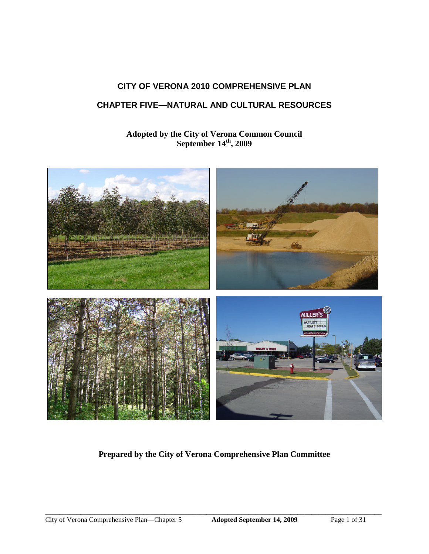# **CITY OF VERONA 2010 COMPREHENSIVE PLAN**

# **CHAPTER FIVE—NATURAL AND CULTURAL RESOURCES**

# **Adopted by the City of Verona Common Council September 14th , 2009**



# **Prepared by the City of Verona Comprehensive Plan Committee**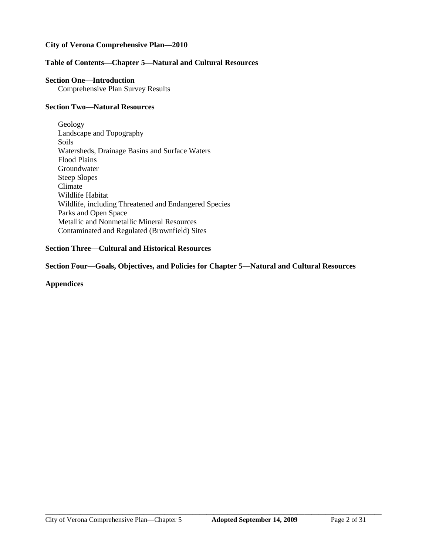## **City of Verona Comprehensive Plan—2010**

## **Table of Contents—Chapter 5—Natural and Cultural Resources**

### **Section One—Introduction**

Comprehensive Plan Survey Results

### **Section Two—Natural Resources**

Geology Landscape and Topography Soils Watersheds, Drainage Basins and Surface Waters Flood Plains Groundwater Steep Slopes Climate Wildlife Habitat Wildlife, including Threatened and Endangered Species Parks and Open Space Metallic and Nonmetallic Mineral Resources Contaminated and Regulated (Brownfield) Sites

## **Section Three—Cultural and Historical Resources**

**Section Four—Goals, Objectives, and Policies for Chapter 5—Natural and Cultural Resources**

**Appendices**

 $\_$  ,  $\_$  ,  $\_$  ,  $\_$  ,  $\_$  ,  $\_$  ,  $\_$  ,  $\_$  ,  $\_$  ,  $\_$  ,  $\_$  ,  $\_$  ,  $\_$  ,  $\_$  ,  $\_$  ,  $\_$  ,  $\_$  ,  $\_$  ,  $\_$  ,  $\_$  ,  $\_$  ,  $\_$  ,  $\_$  ,  $\_$  ,  $\_$  ,  $\_$  ,  $\_$  ,  $\_$  ,  $\_$  ,  $\_$  ,  $\_$  ,  $\_$  ,  $\_$  ,  $\_$  ,  $\_$  ,  $\_$  ,  $\_$  ,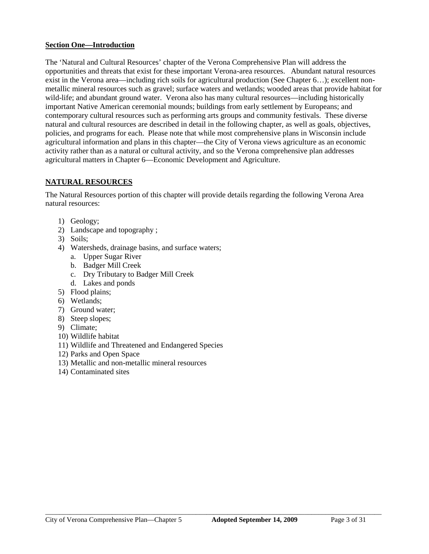## **Section One—Introduction**

The 'Natural and Cultural Resources' chapter of the Verona Comprehensive Plan will address the opportunities and threats that exist for these important Verona-area resources. Abundant natural resources exist in the Verona area—including rich soils for agricultural production (See Chapter 6…); excellent nonmetallic mineral resources such as gravel; surface waters and wetlands; wooded areas that provide habitat for wild-life; and abundant ground water. Verona also has many cultural resources—including historically important Native American ceremonial mounds; buildings from early settlement by Europeans; and contemporary cultural resources such as performing arts groups and community festivals. These diverse natural and cultural resources are described in detail in the following chapter, as well as goals, objectives, policies, and programs for each. Please note that while most comprehensive plans in Wisconsin include agricultural information and plans in this chapter—the City of Verona views agriculture as an economic activity rather than as a natural or cultural activity, and so the Verona comprehensive plan addresses agricultural matters in Chapter 6—Economic Development and Agriculture.

# **NATURAL RESOURCES**

The Natural Resources portion of this chapter will provide details regarding the following Verona Area natural resources:

- 1) Geology;
- 2) Landscape and topography ;
- 3) Soils;
- 4) Watersheds, drainage basins, and surface waters;
	- a. Upper Sugar River
	- b. Badger Mill Creek
	- c. Dry Tributary to Badger Mill Creek
	- d. Lakes and ponds
- 5) Flood plains;
- 6) Wetlands;
- 7) Ground water;
- 8) Steep slopes;
- 9) Climate;
- 10) Wildlife habitat
- 11) Wildlife and Threatened and Endangered Species
- 12) Parks and Open Space
- 13) Metallic and non-metallic mineral resources
- 14) Contaminated sites

 $\_$  ,  $\_$  ,  $\_$  ,  $\_$  ,  $\_$  ,  $\_$  ,  $\_$  ,  $\_$  ,  $\_$  ,  $\_$  ,  $\_$  ,  $\_$  ,  $\_$  ,  $\_$  ,  $\_$  ,  $\_$  ,  $\_$  ,  $\_$  ,  $\_$  ,  $\_$  ,  $\_$  ,  $\_$  ,  $\_$  ,  $\_$  ,  $\_$  ,  $\_$  ,  $\_$  ,  $\_$  ,  $\_$  ,  $\_$  ,  $\_$  ,  $\_$  ,  $\_$  ,  $\_$  ,  $\_$  ,  $\_$  ,  $\_$  ,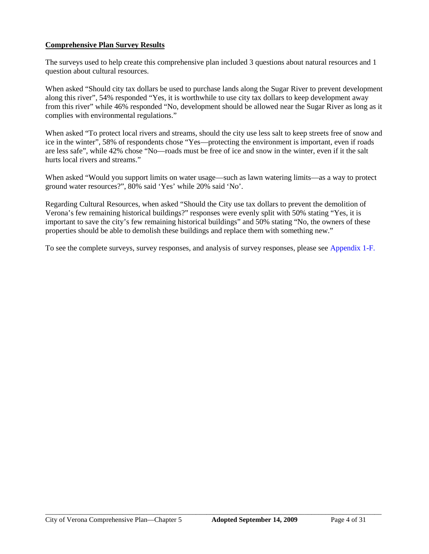# **Comprehensive Plan Survey Results**

The surveys used to help create this comprehensive plan included 3 questions about natural resources and 1 question about cultural resources.

When asked "Should city tax dollars be used to purchase lands along the Sugar River to prevent development along this river", 54% responded "Yes, it is worthwhile to use city tax dollars to keep development away from this river" while 46% responded "No, development should be allowed near the Sugar River as long as it complies with environmental regulations."

When asked "To protect local rivers and streams, should the city use less salt to keep streets free of snow and ice in the winter", 58% of respondents chose "Yes—protecting the environment is important, even if roads are less safe", while 42% chose "No—roads must be free of ice and snow in the winter, even if it the salt hurts local rivers and streams."

When asked "Would you support limits on water usage—such as lawn watering limits—as a way to protect ground water resources?", 80% said 'Yes' while 20% said 'No'.

Regarding Cultural Resources, when asked "Should the City use tax dollars to prevent the demolition of Verona's few remaining historical buildings?" responses were evenly split with 50% stating "Yes, it is important to save the city's few remaining historical buildings" and 50% stating "No, the owners of these properties should be able to demolish these buildings and replace them with something new."

To see the complete surveys, survey responses, and analysis of survey responses, please see Appendix 1-F.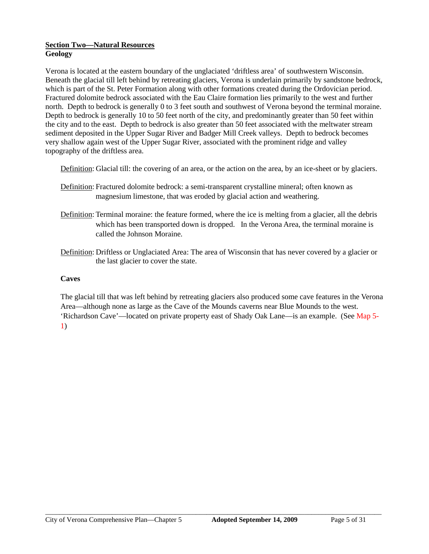## **Section Two—Natural Resources Geology**

Verona is located at the eastern boundary of the unglaciated 'driftless area' of southwestern Wisconsin. Beneath the glacial till left behind by retreating glaciers, Verona is underlain primarily by sandstone bedrock, which is part of the St. Peter Formation along with other formations created during the Ordovician period. Fractured dolomite bedrock associated with the Eau Claire formation lies primarily to the west and further north. Depth to bedrock is generally 0 to 3 feet south and southwest of Verona beyond the terminal moraine. Depth to bedrock is generally 10 to 50 feet north of the city, and predominantly greater than 50 feet within the city and to the east. Depth to bedrock is also greater than 50 feet associated with the meltwater stream sediment deposited in the Upper Sugar River and Badger Mill Creek valleys. Depth to bedrock becomes very shallow again west of the Upper Sugar River, associated with the prominent ridge and valley topography of the driftless area.

Definition: Glacial till: the covering of an area, or the action on the area, by an ice-sheet or by glaciers.

- Definition: Fractured dolomite bedrock: a semi-transparent crystalline mineral; often known as magnesium limestone, that was eroded by glacial action and weathering.
- Definition: Terminal moraine: the feature formed, where the ice is melting from a glacier, all the debris which has been transported down is dropped. In the Verona Area, the terminal moraine is called the Johnson Moraine.
- Definition: Driftless or Unglaciated Area: The area of Wisconsin that has never covered by a glacier or the last glacier to cover the state.

# **Caves**

The glacial till that was left behind by retreating glaciers also produced some cave features in the Verona Area—although none as large as the Cave of the Mounds caverns near Blue Mounds to the west. 'Richardson Cave'—located on private property east of Shady Oak Lane—is an example. (See Map 5- 1)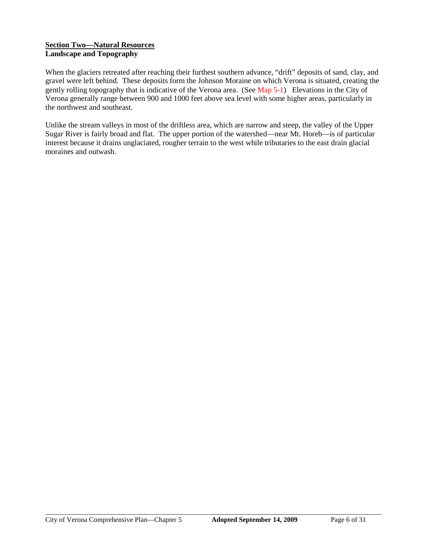## **Section Two—Natural Resources Landscape and Topography**

When the glaciers retreated after reaching their furthest southern advance, "drift" deposits of sand, clay, and gravel were left behind. These deposits form the Johnson Moraine on which Verona is situated, creating the gently rolling topography that is indicative of the Verona area. (See Map 5-1) Elevations in the City of Verona generally range between 900 and 1000 feet above sea level with some higher areas, particularly in the northwest and southeast.

Unlike the stream valleys in most of the driftless area, which are narrow and steep, the valley of the Upper Sugar River is fairly broad and flat. The upper portion of the watershed—near Mt. Horeb—is of particular interest because it drains unglaciated, rougher terrain to the west while tributaries to the east drain glacial moraines and outwash.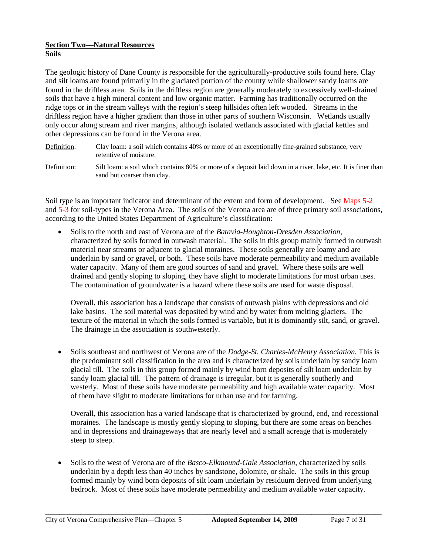### **Section Two—Natural Resources Soils**

The geologic history of Dane County is responsible for the agriculturally-productive soils found here. Clay and silt loams are found primarily in the glaciated portion of the county while shallower sandy loams are found in the driftless area. Soils in the driftless region are generally moderately to excessively well-drained soils that have a high mineral content and low organic matter. Farming has traditionally occurred on the ridge tops or in the stream valleys with the region's steep hillsides often left wooded. Streams in the driftless region have a higher gradient than those in other parts of southern Wisconsin. Wetlands usually only occur along stream and river margins, although isolated wetlands associated with glacial kettles and other depressions can be found in the Verona area.

- Definition: Clay loam: a soil which contains 40% or more of an exceptionally fine-grained substance, very retentive of moisture.
- Definition: Silt loam: a soil which contains 80% or more of a deposit laid down in a river, lake, etc. It is finer than sand but coarser than clay.

Soil type is an important indicator and determinant of the extent and form of development. See Maps 5-2 and 5-3 for soil-types in the Verona Area. The soils of the Verona area are of three primary soil associations, according to the United States Department of Agriculture's classification:

 Soils to the north and east of Verona are of the *Batavia-Houghton-Dresden Association*, characterized by soils formed in outwash material. The soils in this group mainly formed in outwash material near streams or adjacent to glacial moraines. These soils generally are loamy and are underlain by sand or gravel, or both. These soils have moderate permeability and medium available water capacity. Many of them are good sources of sand and gravel. Where these soils are well drained and gently sloping to sloping, they have slight to moderate limitations for most urban uses. The contamination of groundwater is a hazard where these soils are used for waste disposal.

Overall, this association has a landscape that consists of outwash plains with depressions and old lake basins. The soil material was deposited by wind and by water from melting glaciers. The texture of the material in which the soils formed is variable, but it is dominantly silt, sand, or gravel. The drainage in the association is southwesterly.

 Soils southeast and northwest of Verona are of the *Dodge-St. Charles-McHenry Association.* This is the predominant soil classification in the area and is characterized by soils underlain by sandy loam glacial till. The soils in this group formed mainly by wind born deposits of silt loam underlain by sandy loam glacial till. The pattern of drainage is irregular, but it is generally southerly and westerly. Most of these soils have moderate permeability and high available water capacity. Most of them have slight to moderate limitations for urban use and for farming.

Overall, this association has a varied landscape that is characterized by ground, end, and recessional moraines. The landscape is mostly gently sloping to sloping, but there are some areas on benches and in depressions and drainageways that are nearly level and a small acreage that is moderately steep to steep.

 Soils to the west of Verona are of the *Basco-Elkmound-Gale Association*, characterized by soils underlain by a depth less than 40 inches by sandstone, dolomite, or shale. The soils in this group formed mainly by wind born deposits of silt loam underlain by residuum derived from underlying bedrock. Most of these soils have moderate permeability and medium available water capacity.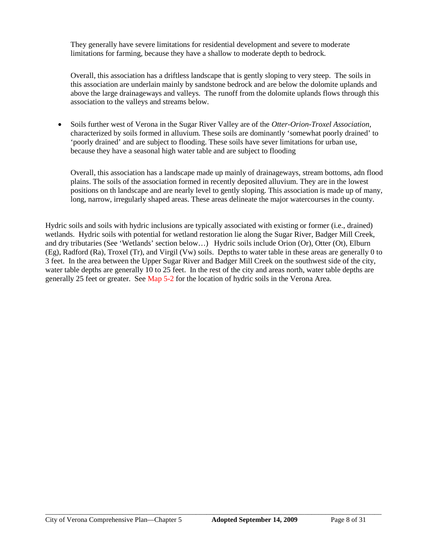They generally have severe limitations for residential development and severe to moderate limitations for farming, because they have a shallow to moderate depth to bedrock.

Overall, this association has a driftless landscape that is gently sloping to very steep. The soils in this association are underlain mainly by sandstone bedrock and are below the dolomite uplands and above the large drainageways and valleys. The runoff from the dolomite uplands flows through this association to the valleys and streams below.

 Soils further west of Verona in the Sugar River Valley are of the *Otter-Orion-Troxel Association*, characterized by soils formed in alluvium. These soils are dominantly 'somewhat poorly drained' to 'poorly drained' and are subject to flooding. These soils have sever limitations for urban use, because they have a seasonal high water table and are subject to flooding

Overall, this association has a landscape made up mainly of drainageways, stream bottoms, adn flood plains. The soils of the association formed in recently deposited alluvium. They are in the lowest positions on th landscape and are nearly level to gently sloping. This association is made up of many, long, narrow, irregularly shaped areas. These areas delineate the major watercourses in the county.

Hydric soils and soils with hydric inclusions are typically associated with existing or former (i.e., drained) wetlands. Hydric soils with potential for wetland restoration lie along the Sugar River, Badger Mill Creek, and dry tributaries (See 'Wetlands' section below…) Hydric soils include Orion (Or), Otter (Ot), Elburn (Eg), Radford (Ra), Troxel (Tr), and Virgil (Vw) soils. Depths to water table in these areas are generally 0 to 3 feet. In the area between the Upper Sugar River and Badger Mill Creek on the southwest side of the city, water table depths are generally 10 to 25 feet. In the rest of the city and areas north, water table depths are generally 25 feet or greater. See Map 5-2 for the location of hydric soils in the Verona Area.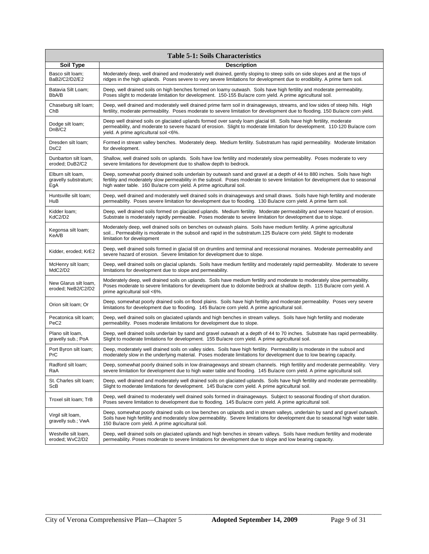| <b>Table 5-1: Soils Characteristics</b>     |                                                                                                                                                                                                                                                                                                                      |  |  |
|---------------------------------------------|----------------------------------------------------------------------------------------------------------------------------------------------------------------------------------------------------------------------------------------------------------------------------------------------------------------------|--|--|
| <b>Soil Type</b>                            | <b>Description</b>                                                                                                                                                                                                                                                                                                   |  |  |
| Basco silt loam:                            | Moderately deep, well drained and moderately well drained, gently sloping to steep soils on side slopes and at the tops of                                                                                                                                                                                           |  |  |
| BaB2/C2/D2/E2                               | ridges in the high uplands. Poses severe to very severe limitations for development due to erodibility. A prime farm soil.                                                                                                                                                                                           |  |  |
| Batavia Silt Loam;                          | Deep, well drained soils on high benches formed on loamy outwash. Soils have high fertility and moderate permeability.                                                                                                                                                                                               |  |  |
| BbA/B                                       | Poses slight to moderate limitation for development. 150-155 Bu/acre corn yield. A prime agricultural soil.                                                                                                                                                                                                          |  |  |
| Chaseburg silt loam;                        | Deep, well drained and moderately well drained prime farm soil in drainageways, streams, and low sides of steep hills. High                                                                                                                                                                                          |  |  |
| ChB                                         | fertility, moderate permeability. Poses moderate to severe limitation for development due to flooding. 150 Bu/acre corn yield.                                                                                                                                                                                       |  |  |
| Dodge silt loam;<br>DnB/C2                  | Deep well drained soils on glaciated uplands formed over sandy loam glacial till. Soils have high fertility, moderate<br>permeability, and moderate to severe hazard of erosion. Slight to moderate limitation for development. 110-120 Bu/acre corn<br>yield. A prime agricultural soil <6%.                        |  |  |
| Dresden silt loam;                          | Formed in stream valley benches. Moderately deep. Medium fertility. Substratum has rapid permeability. Moderate limitation                                                                                                                                                                                           |  |  |
| DsC2                                        | for development.                                                                                                                                                                                                                                                                                                     |  |  |
| Dunbarton silt loam,                        | Shallow, well drained soils on uplands. Soils have low fertility and moderately slow permeability. Poses moderate to very                                                                                                                                                                                            |  |  |
| eroded; DuB2/C2                             | severe limitations for development due to shallow depth to bedrock.                                                                                                                                                                                                                                                  |  |  |
| Elburn silt loam,                           | Deep, somewhat poorly drained soils underlain by outwash sand and gravel at a depth of 44 to 880 inches. Soils have high                                                                                                                                                                                             |  |  |
| gravelly substratum;                        | fertility and moderately slow permeability in the subsoil. Poses moderate to severe limitation for development due to seasonal                                                                                                                                                                                       |  |  |
| EgA                                         | high water table. 160 Bu/acre corn yield. A prime agricultural soil.                                                                                                                                                                                                                                                 |  |  |
| Huntsville silt loam;                       | Deep, well drained and moderately well drained soils in drainageways and small draws. Soils have high fertility and moderate                                                                                                                                                                                         |  |  |
| HuB                                         | permeability. Poses severe limitation for development due to flooding. 130 Bu/acre corn yield. A prime farm soil.                                                                                                                                                                                                    |  |  |
| Kidder Ioam;                                | Deep, well drained soils formed on glaciated uplands. Medium fertility. Moderate permeability and severe hazard of erosion.                                                                                                                                                                                          |  |  |
| KdC2/D2                                     | Substrate is moderately rapidly permeable. Poses moderate to severe limitation for development due to slope.                                                                                                                                                                                                         |  |  |
| Kegonsa silt loam;<br>KeA/B                 | Moderately deep, well drained soils on benches on outwash plains. Soils have medium fertility. A prime agricultural<br>soil Permeability is moderate in the subsoil and rapid in the substratum.125 Bu/acre corn yield. Slight to moderate<br>limitation for development                                             |  |  |
| Kidder, eroded; KrE2                        | Deep, well drained soils formed in glacial till on drumlins and terminal and recessional moraines. Moderate permeability and<br>severe hazard of erosion. Severe limitation for development due to slope.                                                                                                            |  |  |
| McHenry silt loam;                          | Deep, well drained soils on glacial uplands. Soils have medium fertility and moderately rapid permeability. Moderate to severe                                                                                                                                                                                       |  |  |
| MdC2/D2                                     | limitations for development due to slope and permeability.                                                                                                                                                                                                                                                           |  |  |
| New Glarus silt Ioam.<br>eroded; NeB2/C2/D2 | Moderately deep, well drained soils on uplands. Soils have medium fertility and moderate to moderately slow permeability.<br>Poses moderate to severe limitations for development due to dolomite bedrock at shallow depth. 115 Bu/acre corn yield. A<br>prime agricultural soil <6%.                                |  |  |
| Orion silt Ioam; Or                         | Deep, somewhat poorly drained soils on flood plains. Soils have high fertility and moderate permeability. Poses very severe<br>limitations for development due to flooding. 145 Bu/acre corn yield. A prime agricultural soil.                                                                                       |  |  |
| Pecatonica silt loam;                       | Deep, well drained soils on glaciated uplands and high benches in stream valleys. Soils have high fertility and moderate                                                                                                                                                                                             |  |  |
| PeC <sub>2</sub>                            | permeability. Poses moderate limitations for development due to slope.                                                                                                                                                                                                                                               |  |  |
| Plano silt loam,                            | Deep, well drained soils underlain by sand and gravel outwash at a depth of 44 to 70 inches. Substrate has rapid permeability.                                                                                                                                                                                       |  |  |
| gravelly sub.; PoA                          | Slight to moderate limitations for development. 155 Bu/acre corn yield. A prime agricultural soil.                                                                                                                                                                                                                   |  |  |
| Port Byron silt loam;                       | Deep, moderately well drained soils on valley sides. Soils have high fertility. Permeability is moderate in the subsoil and                                                                                                                                                                                          |  |  |
| PrC                                         | moderately slow in the underlying material. Poses moderate limitations for development due to low bearing capacity.                                                                                                                                                                                                  |  |  |
| Radford silt loam;                          | Deep, somewhat poorly drained soils in low drainageways and stream channels. High fertility and moderate permeability. Very                                                                                                                                                                                          |  |  |
| RaA                                         | severe limitation for development due to high water table and flooding. 145 Bu/acre corn yield. A prime agricultural soil.                                                                                                                                                                                           |  |  |
| St. Charles silt loam;                      | Deep, well drained and moderately well drained soils on glaciated uplands. Soils have high fertility and moderate permeability.                                                                                                                                                                                      |  |  |
| ScB                                         | Slight to moderate limitations for development. 145 Bu/acre corn yield. A prime agricultural soil.                                                                                                                                                                                                                   |  |  |
| Troxel silt loam; TrB                       | Deep, well drained to moderately well drained soils formed in drainageways. Subject to seasonal flooding of short duration.<br>Poses severe limitation to development due to flooding. 145 Bu/acre corn yield. A prime agricultural soil.                                                                            |  |  |
| Virgil silt loam,<br>gravelly sub.; VwA     | Deep, somewhat poorly drained soils on low benches on uplands and in stream valleys, underlain by sand and gravel outwash.<br>Soils have high fertility and moderately slow permeability. Severe limitations for development due to seasonal high water table.<br>150 Bu/acre corn yield. A prime agricultural soil. |  |  |
| Westville silt loam,                        | Deep, well drained soils on glaciated uplands and high benches in stream valleys. Soils have medium fertility and moderate                                                                                                                                                                                           |  |  |
| eroded; WvC2/D2                             | permeability. Poses moderate to severe limitations for development due to slope and low bearing capacity.                                                                                                                                                                                                            |  |  |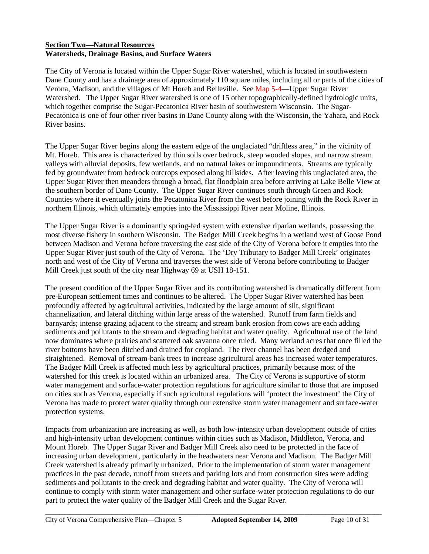## **Section Two—Natural Resources Watersheds, Drainage Basins, and Surface Waters**

The City of Verona is located within the Upper Sugar River watershed, which is located in southwestern Dane County and has a drainage area of approximately 110 square miles, including all or parts of the cities of Verona, Madison, and the villages of Mt Horeb and Belleville. See Map 5-4—Upper Sugar River Watershed. The Upper Sugar River watershed is one of 15 other topographically-defined hydrologic units, which together comprise the Sugar-Pecatonica River basin of southwestern Wisconsin. The Sugar-Pecatonica is one of four other river basins in Dane County along with the Wisconsin, the Yahara, and Rock River basins.

The Upper Sugar River begins along the eastern edge of the unglaciated "driftless area," in the vicinity of Mt. Horeb. This area is characterized by thin soils over bedrock, steep wooded slopes, and narrow stream valleys with alluvial deposits, few wetlands, and no natural lakes or impoundments. Streams are typically fed by groundwater from bedrock outcrops exposed along hillsides. After leaving this unglaciated area, the Upper Sugar River then meanders through a broad, flat floodplain area before arriving at Lake Belle View at the southern border of Dane County. The Upper Sugar River continues south through Green and Rock Counties where it eventually joins the Pecatonica River from the west before joining with the Rock River in northern Illinois, which ultimately empties into the Mississippi River near Moline, Illinois.

The Upper Sugar River is a dominantly spring-fed system with extensive riparian wetlands, possessing the most diverse fishery in southern Wisconsin. The Badger Mill Creek begins in a wetland west of Goose Pond between Madison and Verona before traversing the east side of the City of Verona before it empties into the Upper Sugar River just south of the City of Verona. The 'Dry Tributary to Badger Mill Creek' originates north and west of the City of Verona and traverses the west side of Verona before contributing to Badger Mill Creek just south of the city near Highway 69 at USH 18-151.

The present condition of the Upper Sugar River and its contributing watershed is dramatically different from pre-European settlement times and continues to be altered. The Upper Sugar River watershed has been profoundly affected by agricultural activities, indicated by the large amount of silt, significant channelization, and lateral ditching within large areas of the watershed. Runoff from farm fields and barnyards; intense grazing adjacent to the stream; and stream bank erosion from cows are each adding sediments and pollutants to the stream and degrading habitat and water quality. Agricultural use of the land now dominates where prairies and scattered oak savanna once ruled. Many wetland acres that once filled the river bottoms have been ditched and drained for cropland. The river channel has been dredged and straightened. Removal of stream-bank trees to increase agricultural areas has increased water temperatures. The Badger Mill Creek is affected much less by agricultural practices, primarily because most of the watershed for this creek is located within an urbanized area. The City of Verona is supportive of storm water management and surface-water protection regulations for agriculture similar to those that are imposed on cities such as Verona, especially if such agricultural regulations will 'protect the investment' the City of Verona has made to protect water quality through our extensive storm water management and surface-water protection systems.

Impacts from urbanization are increasing as well, as both low-intensity urban development outside of cities and high-intensity urban development continues within cities such as Madison, Middleton, Verona, and Mount Horeb. The Upper Sugar River and Badger Mill Creek also need to be protected in the face of increasing urban development, particularly in the headwaters near Verona and Madison. The Badger Mill Creek watershed is already primarily urbanized. Prior to the implementation of storm water management practices in the past decade, runoff from streets and parking lots and from construction sites were adding sediments and pollutants to the creek and degrading habitat and water quality. The City of Verona will continue to comply with storm water management and other surface-water protection regulations to do our part to protect the water quality of the Badger Mill Creek and the Sugar River.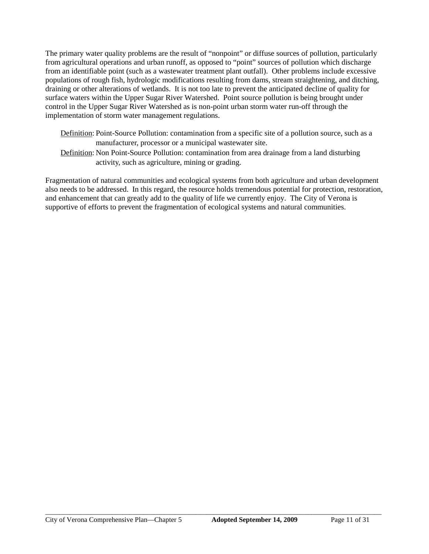The primary water quality problems are the result of "nonpoint" or diffuse sources of pollution, particularly from agricultural operations and urban runoff, as opposed to "point" sources of pollution which discharge from an identifiable point (such as a wastewater treatment plant outfall). Other problems include excessive populations of rough fish, hydrologic modifications resulting from dams, stream straightening, and ditching, draining or other alterations of wetlands. It is not too late to prevent the anticipated decline of quality for surface waters within the Upper Sugar River Watershed. Point source pollution is being brought under control in the Upper Sugar River Watershed as is non-point urban storm water run-off through the implementation of storm water management regulations.

- Definition: Point-Source Pollution: contamination from a specific site of a pollution source, such as a manufacturer, processor or a municipal wastewater site.
- Definition: Non Point-Source Pollution: contamination from area drainage from a land disturbing activity, such as agriculture, mining or grading.

Fragmentation of natural communities and ecological systems from both agriculture and urban development also needs to be addressed. In this regard, the resource holds tremendous potential for protection, restoration, and enhancement that can greatly add to the quality of life we currently enjoy. The City of Verona is supportive of efforts to prevent the fragmentation of ecological systems and natural communities.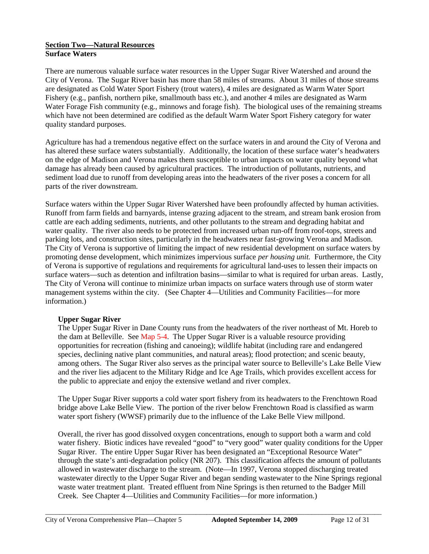## **Section Two—Natural Resources Surface Waters**

There are numerous valuable surface water resources in the Upper Sugar River Watershed and around the City of Verona. The Sugar River basin has more than 58 miles of streams. About 31 miles of those streams are designated as Cold Water Sport Fishery (trout waters), 4 miles are designated as Warm Water Sport Fishery (e.g., panfish, northern pike, smallmouth bass etc.), and another 4 miles are designated as Warm Water Forage Fish community (e.g., minnows and forage fish). The biological uses of the remaining streams which have not been determined are codified as the default Warm Water Sport Fishery category for water quality standard purposes.

Agriculture has had a tremendous negative effect on the surface waters in and around the City of Verona and has altered these surface waters substantially. Additionally, the location of these surface water's headwaters on the edge of Madison and Verona makes them susceptible to urban impacts on water quality beyond what damage has already been caused by agricultural practices. The introduction of pollutants, nutrients, and sediment load due to runoff from developing areas into the headwaters of the river poses a concern for all parts of the river downstream.

Surface waters within the Upper Sugar River Watershed have been profoundly affected by human activities. Runoff from farm fields and barnyards, intense grazing adjacent to the stream, and stream bank erosion from cattle are each adding sediments, nutrients, and other pollutants to the stream and degrading habitat and water quality. The river also needs to be protected from increased urban run-off from roof-tops, streets and parking lots, and construction sites, particularly in the headwaters near fast-growing Verona and Madison. The City of Verona is supportive of limiting the impact of new residential development on surface waters by promoting dense development, which minimizes impervious surface *per housing unit.* Furthermore, the City of Verona is supportive of regulations and requirements for agricultural land-uses to lessen their impacts on surface waters—such as detention and infiltration basins—similar to what is required for urban areas. Lastly, The City of Verona will continue to minimize urban impacts on surface waters through use of storm water management systems within the city. (See Chapter 4—Utilities and Community Facilities—for more information.)

# **Upper Sugar River**

The Upper Sugar River in Dane County runs from the headwaters of the river northeast of Mt. Horeb to the dam at Belleville. See Map 5-4. The Upper Sugar River is a valuable resource providing opportunities for recreation (fishing and canoeing); wildlife habitat (including rare and endangered species, declining native plant communities, and natural areas); flood protection; and scenic beauty, among others. The Sugar River also serves as the principal water source to Belleville's Lake Belle View and the river lies adjacent to the Military Ridge and Ice Age Trails, which provides excellent access for the public to appreciate and enjoy the extensive wetland and river complex.

The Upper Sugar River supports a cold water sport fishery from its headwaters to the Frenchtown Road bridge above Lake Belle View. The portion of the river below Frenchtown Road is classified as warm water sport fishery (WWSF) primarily due to the influence of the Lake Belle View millpond.

Overall, the river has good dissolved oxygen concentrations, enough to support both a warm and cold water fishery. Biotic indices have revealed "good" to "very good" water quality conditions for the Upper Sugar River. The entire Upper Sugar River has been designated an "Exceptional Resource Water" through the state's anti-degradation policy (NR 207). This classification affects the amount of pollutants allowed in wastewater discharge to the stream. (Note—In 1997, Verona stopped discharging treated wastewater directly to the Upper Sugar River and began sending wastewater to the Nine Springs regional waste water treatment plant. Treated effluent from Nine Springs is then returned to the Badger Mill Creek. See Chapter 4—Utilities and Community Facilities—for more information.)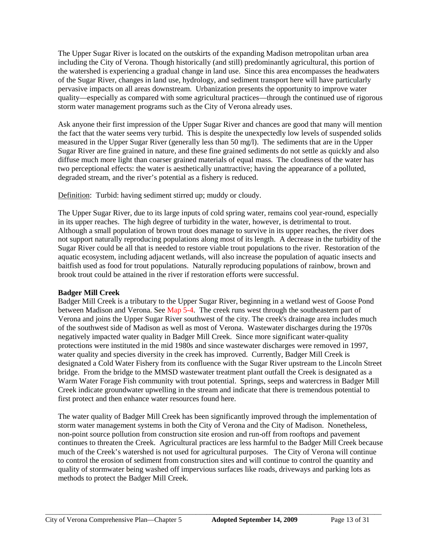The Upper Sugar River is located on the outskirts of the expanding Madison metropolitan urban area including the City of Verona. Though historically (and still) predominantly agricultural, this portion of the watershed is experiencing a gradual change in land use. Since this area encompasses the headwaters of the Sugar River, changes in land use, hydrology, and sediment transport here will have particularly pervasive impacts on all areas downstream. Urbanization presents the opportunity to improve water quality—especially as compared with some agricultural practices—through the continued use of rigorous storm water management programs such as the City of Verona already uses.

Ask anyone their first impression of the Upper Sugar River and chances are good that many will mention the fact that the water seems very turbid. This is despite the unexpectedly low levels of suspended solids measured in the Upper Sugar River (generally less than 50 mg/l). The sediments that are in the Upper Sugar River are fine grained in nature, and these fine grained sediments do not settle as quickly and also diffuse much more light than coarser grained materials of equal mass. The cloudiness of the water has two perceptional effects: the water is aesthetically unattractive; having the appearance of a polluted, degraded stream, and the river's potential as a fishery is reduced.

Definition: Turbid: having sediment stirred up; muddy or cloudy.

The Upper Sugar River, due to its large inputs of cold spring water, remains cool year-round, especially in its upper reaches. The high degree of turbidity in the water, however, is detrimental to trout. Although a small population of brown trout does manage to survive in its upper reaches, the river does not support naturally reproducing populations along most of its length. A decrease in the turbidity of the Sugar River could be all that is needed to restore viable trout populations to the river. Restoration of the aquatic ecosystem, including adjacent wetlands, will also increase the population of aquatic insects and baitfish used as food for trout populations. Naturally reproducing populations of rainbow, brown and brook trout could be attained in the river if restoration efforts were successful.

# **Badger Mill Creek**

Badger Mill Creek is a tributary to the Upper Sugar River, beginning in a wetland west of Goose Pond between Madison and Verona. See Map 5-4. The creek runs west through the southeastern part of Verona and joins the Upper Sugar River southwest of the city. The creek's drainage area includes much of the southwest side of Madison as well as most of Verona. Wastewater discharges during the 1970s negatively impacted water quality in Badger Mill Creek. Since more significant water-quality protections were instituted in the mid 1980s and since wastewater discharges were removed in 1997, water quality and species diversity in the creek has improved. Currently, Badger Mill Creek is designated a Cold Water Fishery from its confluence with the Sugar River upstream to the Lincoln Street bridge. From the bridge to the MMSD wastewater treatment plant outfall the Creek is designated as a Warm Water Forage Fish community with trout potential. Springs, seeps and watercress in Badger Mill Creek indicate groundwater upwelling in the stream and indicate that there is tremendous potential to first protect and then enhance water resources found here.

The water quality of Badger Mill Creek has been significantly improved through the implementation of storm water management systems in both the City of Verona and the City of Madison. Nonetheless, non-point source pollution from construction site erosion and run-off from rooftops and pavement continues to threaten the Creek. Agricultural practices are less harmful to the Badger Mill Creek because much of the Creek's watershed is not used for agricultural purposes. The City of Verona will continue to control the erosion of sediment from construction sites and will continue to control the quantity and quality of stormwater being washed off impervious surfaces like roads, driveways and parking lots as methods to protect the Badger Mill Creek.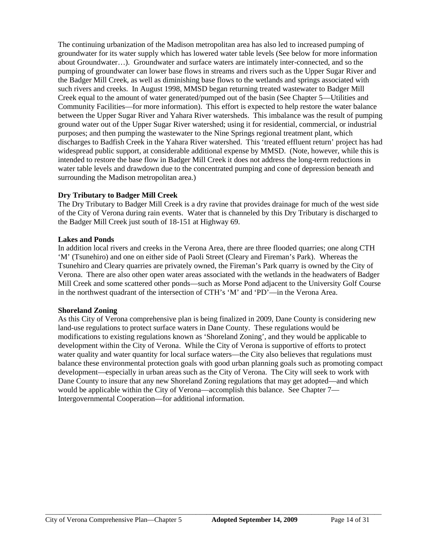The continuing urbanization of the Madison metropolitan area has also led to increased pumping of groundwater for its water supply which has lowered water table levels (See below for more information about Groundwater…). Groundwater and surface waters are intimately inter-connected, and so the pumping of groundwater can lower base flows in streams and rivers such as the Upper Sugar River and the Badger Mill Creek, as well as diminishing base flows to the wetlands and springs associated with such rivers and creeks. In August 1998, MMSD began returning treated wastewater to Badger Mill Creek equal to the amount of water generated/pumped out of the basin (See Chapter 5—Utilities and Community Facilities—for more information). This effort is expected to help restore the water balance between the Upper Sugar River and Yahara River watersheds. This imbalance was the result of pumping ground water out of the Upper Sugar River watershed; using it for residential, commercial, or industrial purposes; and then pumping the wastewater to the Nine Springs regional treatment plant, which discharges to Badfish Creek in the Yahara River watershed. This 'treated effluent return' project has had widespread public support, at considerable additional expense by MMSD. (Note, however, while this is intended to restore the base flow in Badger Mill Creek it does not address the long-term reductions in water table levels and drawdown due to the concentrated pumping and cone of depression beneath and surrounding the Madison metropolitan area.)

# **Dry Tributary to Badger Mill Creek**

The Dry Tributary to Badger Mill Creek is a dry ravine that provides drainage for much of the west side of the City of Verona during rain events. Water that is channeled by this Dry Tributary is discharged to the Badger Mill Creek just south of 18-151 at Highway 69.

## **Lakes and Ponds**

In addition local rivers and creeks in the Verona Area, there are three flooded quarries; one along CTH 'M' (Tsunehiro) and one on either side of Paoli Street (Cleary and Fireman's Park). Whereas the Tsunehiro and Cleary quarries are privately owned, the Fireman's Park quarry is owned by the City of Verona. There are also other open water areas associated with the wetlands in the headwaters of Badger Mill Creek and some scattered other ponds—such as Morse Pond adjacent to the University Golf Course in the northwest quadrant of the intersection of CTH's 'M' and 'PD'—in the Verona Area.

# **Shoreland Zoning**

As this City of Verona comprehensive plan is being finalized in 2009, Dane County is considering new land-use regulations to protect surface waters in Dane County. These regulations would be modifications to existing regulations known as 'Shoreland Zoning', and they would be applicable to development within the City of Verona. While the City of Verona is supportive of efforts to protect water quality and water quantity for local surface waters—the City also believes that regulations must balance these environmental protection goals with good urban planning goals such as promoting compact development—especially in urban areas such as the City of Verona. The City will seek to work with Dane County to insure that any new Shoreland Zoning regulations that may get adopted—and which would be applicable within the City of Verona—accomplish this balance. See Chapter 7— Intergovernmental Cooperation—for additional information.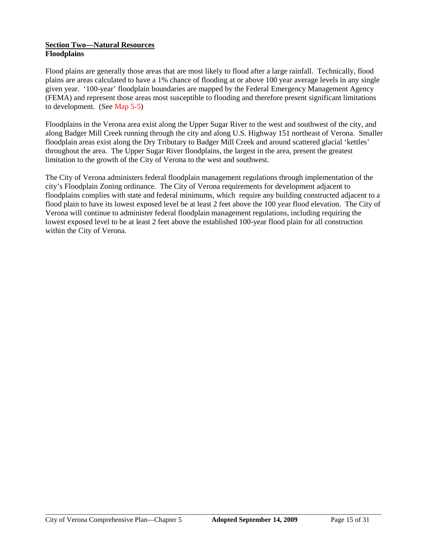## **Section Two—Natural Resources Floodplains**

Flood plains are generally those areas that are most likely to flood after a large rainfall. Technically, flood plains are areas calculated to have a 1% chance of flooding at or above 100 year average levels in any single given year. '100-year' floodplain boundaries are mapped by the Federal Emergency Management Agency (FEMA) and represent those areas most susceptible to flooding and therefore present significant limitations to development. (See Map 5-5)

Floodplains in the Verona area exist along the Upper Sugar River to the west and southwest of the city, and along Badger Mill Creek running through the city and along U.S. Highway 151 northeast of Verona. Smaller floodplain areas exist along the Dry Tributary to Badger Mill Creek and around scattered glacial 'kettles' throughout the area. The Upper Sugar River floodplains, the largest in the area, present the greatest limitation to the growth of the City of Verona to the west and southwest.

The City of Verona administers federal floodplain management regulations through implementation of the city's Floodplain Zoning ordinance. The City of Verona requirements for development adjacent to floodplains complies with state and federal minimums, which require any building constructed adjacent to a flood plain to have its lowest exposed level be at least 2 feet above the 100 year flood elevation. The City of Verona will continue to administer federal floodplain management regulations, including requiring the lowest exposed level to be at least 2 feet above the established 100-year flood plain for all construction within the City of Verona.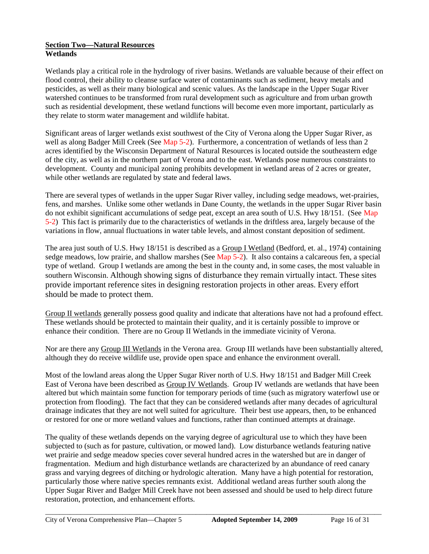## **Section Two—Natural Resources Wetlands**

Wetlands play a critical role in the hydrology of river basins. Wetlands are valuable because of their effect on flood control, their ability to cleanse surface water of contaminants such as sediment, heavy metals and pesticides, as well as their many biological and scenic values. As the landscape in the Upper Sugar River watershed continues to be transformed from rural development such as agriculture and from urban growth such as residential development, these wetland functions will become even more important, particularly as they relate to storm water management and wildlife habitat.

Significant areas of larger wetlands exist southwest of the City of Verona along the Upper Sugar River, as well as along Badger Mill Creek (See Map 5-2). Furthermore, a concentration of wetlands of less than 2 acres identified by the Wisconsin Department of Natural Resources is located outside the southeastern edge of the city, as well as in the northern part of Verona and to the east. Wetlands pose numerous constraints to development. County and municipal zoning prohibits development in wetland areas of 2 acres or greater, while other wetlands are regulated by state and federal laws.

There are several types of wetlands in the upper Sugar River valley, including sedge meadows, wet-prairies, fens, and marshes. Unlike some other wetlands in Dane County, the wetlands in the upper Sugar River basin do not exhibit significant accumulations of sedge peat, except an area south of U.S. Hwy 18/151. (See Map 5-2) This fact is primarily due to the characteristics of wetlands in the driftless area, largely because of the variations in flow, annual fluctuations in water table levels, and almost constant deposition of sediment.

The area just south of U.S. Hwy 18/151 is described as a Group I Wetland (Bedford, et. al., 1974) containing sedge meadows, low prairie, and shallow marshes (See Map 5-2). It also contains a calcareous fen, a special type of wetland. Group I wetlands are among the best in the county and, in some cases, the most valuable in southern Wisconsin. Although showing signs of disturbance they remain virtually intact. These sites provide important reference sites in designing restoration projects in other areas. Every effort should be made to protect them.

Group II wetlands generally possess good quality and indicate that alterations have not had a profound effect. These wetlands should be protected to maintain their quality, and it is certainly possible to improve or enhance their condition. There are no Group II Wetlands in the immediate vicinity of Verona.

Nor are there any Group III Wetlands in the Verona area. Group III wetlands have been substantially altered, although they do receive wildlife use, provide open space and enhance the environment overall.

Most of the lowland areas along the Upper Sugar River north of U.S. Hwy 18/151 and Badger Mill Creek East of Verona have been described as Group IV Wetlands. Group IV wetlands are wetlands that have been altered but which maintain some function for temporary periods of time (such as migratory waterfowl use or protection from flooding). The fact that they can be considered wetlands after many decades of agricultural drainage indicates that they are not well suited for agriculture. Their best use appears, then, to be enhanced or restored for one or more wetland values and functions, rather than continued attempts at drainage.

The quality of these wetlands depends on the varying degree of agricultural use to which they have been subjected to (such as for pasture, cultivation, or mowed land). Low disturbance wetlands featuring native wet prairie and sedge meadow species cover several hundred acres in the watershed but are in danger of fragmentation. Medium and high disturbance wetlands are characterized by an abundance of reed canary grass and varying degrees of ditching or hydrologic alteration. Many have a high potential for restoration, particularly those where native species remnants exist. Additional wetland areas further south along the Upper Sugar River and Badger Mill Creek have not been assessed and should be used to help direct future restoration, protection, and enhancement efforts.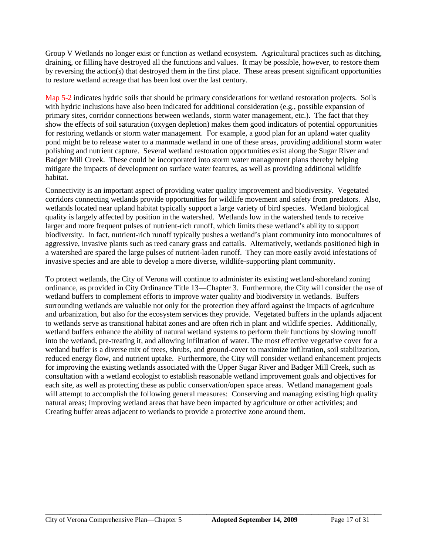Group V Wetlands no longer exist or function as wetland ecosystem. Agricultural practices such as ditching, draining, or filling have destroyed all the functions and values. It may be possible, however, to restore them by reversing the action(s) that destroyed them in the first place. These areas present significant opportunities to restore wetland acreage that has been lost over the last century.

Map 5-2 indicates hydric soils that should be primary considerations for wetland restoration projects. Soils with hydric inclusions have also been indicated for additional consideration (e.g., possible expansion of primary sites, corridor connections between wetlands, storm water management, etc.). The fact that they show the effects of soil saturation (oxygen depletion) makes them good indicators of potential opportunities for restoring wetlands or storm water management. For example, a good plan for an upland water quality pond might be to release water to a manmade wetland in one of these areas, providing additional storm water polishing and nutrient capture. Several wetland restoration opportunities exist along the Sugar River and Badger Mill Creek. These could be incorporated into storm water management plans thereby helping mitigate the impacts of development on surface water features, as well as providing additional wildlife habitat.

Connectivity is an important aspect of providing water quality improvement and biodiversity. Vegetated corridors connecting wetlands provide opportunities for wildlife movement and safety from predators. Also, wetlands located near upland habitat typically support a large variety of bird species. Wetland biological quality is largely affected by position in the watershed. Wetlands low in the watershed tends to receive larger and more frequent pulses of nutrient-rich runoff, which limits these wetland's ability to support biodiversity. In fact, nutrient-rich runoff typically pushes a wetland's plant community into monocultures of aggressive, invasive plants such as reed canary grass and cattails. Alternatively, wetlands positioned high in a watershed are spared the large pulses of nutrient-laden runoff. They can more easily avoid infestations of invasive species and are able to develop a more diverse, wildlife-supporting plant community.

To protect wetlands, the City of Verona will continue to administer its existing wetland-shoreland zoning ordinance, as provided in City Ordinance Title 13—Chapter 3. Furthermore, the City will consider the use of wetland buffers to complement efforts to improve water quality and biodiversity in wetlands. Buffers surrounding wetlands are valuable not only for the protection they afford against the impacts of agriculture and urbanization, but also for the ecosystem services they provide. Vegetated buffers in the uplands adjacent to wetlands serve as transitional habitat zones and are often rich in plant and wildlife species. Additionally, wetland buffers enhance the ability of natural wetland systems to perform their functions by slowing runoff into the wetland, pre-treating it, and allowing infiltration of water. The most effective vegetative cover for a wetland buffer is a diverse mix of trees, shrubs, and ground-cover to maximize infiltration, soil stabilization, reduced energy flow, and nutrient uptake. Furthermore, the City will consider wetland enhancement projects for improving the existing wetlands associated with the Upper Sugar River and Badger Mill Creek, such as consultation with a wetland ecologist to establish reasonable wetland improvement goals and objectives for each site, as well as protecting these as public conservation/open space areas. Wetland management goals will attempt to accomplish the following general measures: Conserving and managing existing high quality natural areas; Improving wetland areas that have been impacted by agriculture or other activities; and Creating buffer areas adjacent to wetlands to provide a protective zone around them.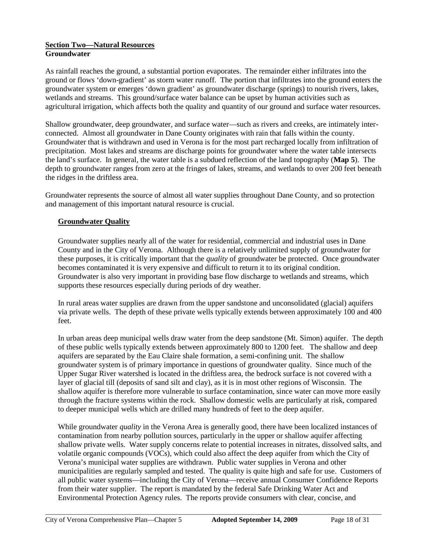## **Section Two—Natural Resources Groundwater**

As rainfall reaches the ground, a substantial portion evaporates. The remainder either infiltrates into the ground or flows 'down-gradient' as storm water runoff. The portion that infiltrates into the ground enters the groundwater system or emerges 'down gradient' as groundwater discharge (springs) to nourish rivers, lakes, wetlands and streams. This ground/surface water balance can be upset by human activities such as agricultural irrigation, which affects both the quality and quantity of our ground and surface water resources.

Shallow groundwater, deep groundwater, and surface water—such as rivers and creeks, are intimately interconnected. Almost all groundwater in Dane County originates with rain that falls within the county. Groundwater that is withdrawn and used in Verona is for the most part recharged locally from infiltration of precipitation. Most lakes and streams are discharge points for groundwater where the water table intersects the land's surface. In general, the water table is a subdued reflection of the land topography (**Map 5**). The depth to groundwater ranges from zero at the fringes of lakes, streams, and wetlands to over 200 feet beneath the ridges in the driftless area.

Groundwater represents the source of almost all water supplies throughout Dane County, and so protection and management of this important natural resource is crucial.

# **Groundwater Quality**

Groundwater supplies nearly all of the water for residential, commercial and industrial uses in Dane County and in the City of Verona. Although there is a relatively unlimited supply of groundwater for these purposes, it is critically important that the *quality* of groundwater be protected. Once groundwater becomes contaminated it is very expensive and difficult to return it to its original condition. Groundwater is also very important in providing base flow discharge to wetlands and streams, which supports these resources especially during periods of dry weather.

In rural areas water supplies are drawn from the upper sandstone and unconsolidated (glacial) aquifers via private wells. The depth of these private wells typically extends between approximately 100 and 400 feet.

In urban areas deep municipal wells draw water from the deep sandstone (Mt. Simon) aquifer. The depth of these public wells typically extends between approximately 800 to 1200 feet. The shallow and deep aquifers are separated by the Eau Claire shale formation, a semi-confining unit. The shallow groundwater system is of primary importance in questions of groundwater quality. Since much of the Upper Sugar River watershed is located in the driftless area, the bedrock surface is not covered with a layer of glacial till (deposits of sand silt and clay), as it is in most other regions of Wisconsin. The shallow aquifer is therefore more vulnerable to surface contamination, since water can move more easily through the fracture systems within the rock. Shallow domestic wells are particularly at risk, compared to deeper municipal wells which are drilled many hundreds of feet to the deep aquifer.

While groundwater *quality* in the Verona Area is generally good, there have been localized instances of contamination from nearby pollution sources, particularly in the upper or shallow aquifer affecting shallow private wells. Water supply concerns relate to potential increases in nitrates, dissolved salts, and volatile organic compounds (VOCs), which could also affect the deep aquifer from which the City of Verona's municipal water supplies are withdrawn. Public water supplies in Verona and other municipalities are regularly sampled and tested. The quality is quite high and safe for use. Customers of all public water systems—including the City of Verona—receive annual Consumer Confidence Reports from their water supplier. The report is mandated by the federal Safe Drinking Water Act and Environmental Protection Agency rules. The reports provide consumers with clear, concise, and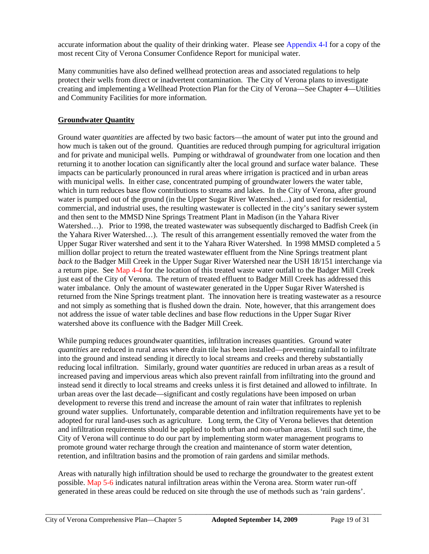accurate information about the quality of their drinking water. Please see Appendix 4-I for a copy of the most recent City of Verona Consumer Confidence Report for municipal water.

Many communities have also defined wellhead protection areas and associated regulations to help protect their wells from direct or inadvertent contamination. The City of Verona plans to investigate creating and implementing a Wellhead Protection Plan for the City of Verona—See Chapter 4—Utilities and Community Facilities for more information.

# **Groundwater Quantity**

Ground water *quantities* are affected by two basic factors—the amount of water put into the ground and how much is taken out of the ground. Quantities are reduced through pumping for agricultural irrigation and for private and municipal wells. Pumping or withdrawal of groundwater from one location and then returning it to another location can significantly alter the local ground and surface water balance. These impacts can be particularly pronounced in rural areas where irrigation is practiced and in urban areas with municipal wells. In either case, concentrated pumping of groundwater lowers the water table, which in turn reduces base flow contributions to streams and lakes. In the City of Verona, after ground water is pumped out of the ground (in the Upper Sugar River Watershed…) and used for residential, commercial, and industrial uses, the resulting wastewater is collected in the city's sanitary sewer system and then sent to the MMSD Nine Springs Treatment Plant in Madison (in the Yahara River Watershed…). Prior to 1998, the treated wastewater was subsequently discharged to Badfish Creek (in the Yahara River Watershed…). The result of this arrangement essentially removed the water from the Upper Sugar River watershed and sent it to the Yahara River Watershed. In 1998 MMSD completed a 5 million dollar project to return the treated wastewater effluent from the Nine Springs treatment plant *back to* the Badger Mill Creek in the Upper Sugar River Watershed near the USH 18/151 interchange via a return pipe. See Map 4-4 for the location of this treated waste water outfall to the Badger Mill Creek just east of the City of Verona. The return of treated effluent to Badger Mill Creek has addressed this water imbalance. Only the amount of wastewater generated in the Upper Sugar River Watershed is returned from the Nine Springs treatment plant. The innovation here is treating wastewater as a resource and not simply as something that is flushed down the drain. Note, however, that this arrangement does not address the issue of water table declines and base flow reductions in the Upper Sugar River watershed above its confluence with the Badger Mill Creek.

While pumping reduces groundwater quantities, infiltration increases quantities. Ground water *quantities* are reduced in rural areas where drain tile has been installed—preventing rainfall to infiltrate into the ground and instead sending it directly to local streams and creeks and thereby substantially reducing local infiltration. Similarly, ground water *quantities* are reduced in urban areas as a result of increased paving and impervious areas which also prevent rainfall from infiltrating into the ground and instead send it directly to local streams and creeks unless it is first detained and allowed to infiltrate. In urban areas over the last decade—significant and costly regulations have been imposed on urban development to reverse this trend and increase the amount of rain water that infiltrates to replenish ground water supplies. Unfortunately, comparable detention and infiltration requirements have yet to be adopted for rural land-uses such as agriculture. Long term, the City of Verona believes that detention and infiltration requirements should be applied to both urban and non-urban areas. Until such time, the City of Verona will continue to do our part by implementing storm water management programs to promote ground water recharge through the creation and maintenance of storm water detention, retention, and infiltration basins and the promotion of rain gardens and similar methods.

Areas with naturally high infiltration should be used to recharge the groundwater to the greatest extent possible. Map 5-6 indicates natural infiltration areas within the Verona area. Storm water run-off generated in these areas could be reduced on site through the use of methods such as 'rain gardens'.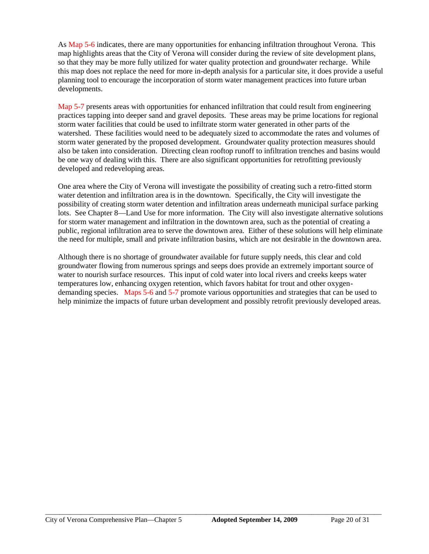As Map 5-6 indicates, there are many opportunities for enhancing infiltration throughout Verona. This map highlights areas that the City of Verona will consider during the review of site development plans, so that they may be more fully utilized for water quality protection and groundwater recharge. While this map does not replace the need for more in-depth analysis for a particular site, it does provide a useful planning tool to encourage the incorporation of storm water management practices into future urban developments.

Map 5-7 presents areas with opportunities for enhanced infiltration that could result from engineering practices tapping into deeper sand and gravel deposits. These areas may be prime locations for regional storm water facilities that could be used to infiltrate storm water generated in other parts of the watershed. These facilities would need to be adequately sized to accommodate the rates and volumes of storm water generated by the proposed development. Groundwater quality protection measures should also be taken into consideration. Directing clean rooftop runoff to infiltration trenches and basins would be one way of dealing with this. There are also significant opportunities for retrofitting previously developed and redeveloping areas.

One area where the City of Verona will investigate the possibility of creating such a retro-fitted storm water detention and infiltration area is in the downtown. Specifically, the City will investigate the possibility of creating storm water detention and infiltration areas underneath municipal surface parking lots. See Chapter 8—Land Use for more information. The City will also investigate alternative solutions for storm water management and infiltration in the downtown area, such as the potential of creating a public, regional infiltration area to serve the downtown area. Either of these solutions will help eliminate the need for multiple, small and private infiltration basins, which are not desirable in the downtown area.

Although there is no shortage of groundwater available for future supply needs, this clear and cold groundwater flowing from numerous springs and seeps does provide an extremely important source of water to nourish surface resources. This input of cold water into local rivers and creeks keeps water temperatures low, enhancing oxygen retention, which favors habitat for trout and other oxygendemanding species. Maps 5-6 and 5-7 promote various opportunities and strategies that can be used to help minimize the impacts of future urban development and possibly retrofit previously developed areas.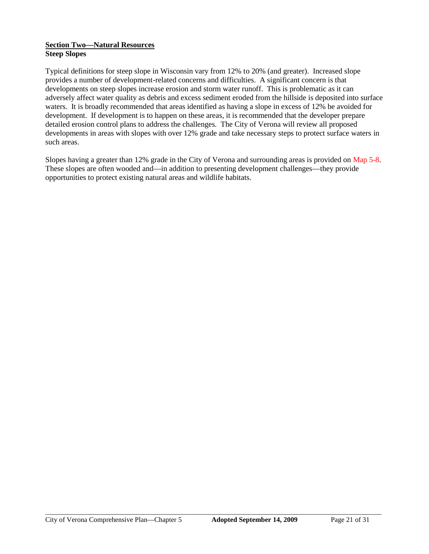## **Section Two—Natural Resources Steep Slopes**

Typical definitions for steep slope in Wisconsin vary from 12% to 20% (and greater). Increased slope provides a number of development-related concerns and difficulties. A significant concern is that developments on steep slopes increase erosion and storm water runoff. This is problematic as it can adversely affect water quality as debris and excess sediment eroded from the hillside is deposited into surface waters. It is broadly recommended that areas identified as having a slope in excess of 12% be avoided for development. If development is to happen on these areas, it is recommended that the developer prepare detailed erosion control plans to address the challenges. The City of Verona will review all proposed developments in areas with slopes with over 12% grade and take necessary steps to protect surface waters in such areas.

Slopes having a greater than 12% grade in the City of Verona and surrounding areas is provided on Map 5-8. These slopes are often wooded and—in addition to presenting development challenges—they provide opportunities to protect existing natural areas and wildlife habitats.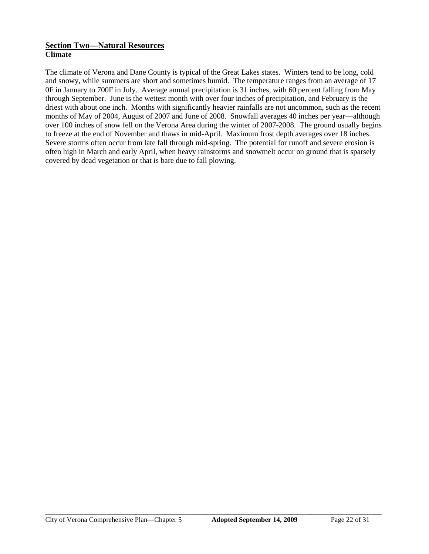# **Section Two—Natural Resources Climate**

The climate of Verona and Dane County is typical of the Great Lakes states. Winters tend to be long, cold and snowy, while summers are short and sometimes humid. The temperature ranges from an average of 17 0F in January to 700F in July. Average annual precipitation is 31 inches, with 60 percent falling from May through September. June is the wettest month with over four inches of precipitation, and February is the driest with about one inch. Months with significantly heavier rainfalls are not uncommon, such as the recent months of May of 2004, August of 2007 and June of 2008. Snowfall averages 40 inches per year—although over 100 inches of snow fell on the Verona Area during the winter of 2007-2008. The ground usually begins to freeze at the end of November and thaws in mid-April. Maximum frost depth averages over 18 inches. Severe storms often occur from late fall through mid-spring. The potential for runoff and severe erosion is often high in March and early April, when heavy rainstorms and snowmelt occur on ground that is sparsely covered by dead vegetation or that is bare due to fall plowing.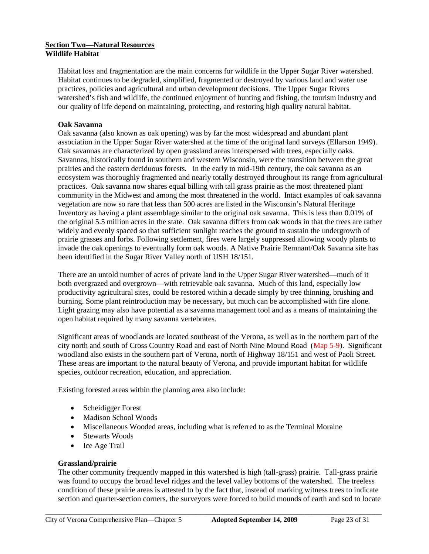#### **Section Two—Natural Resources Wildlife Habitat**

Habitat loss and fragmentation are the main concerns for wildlife in the Upper Sugar River watershed. Habitat continues to be degraded, simplified, fragmented or destroyed by various land and water use practices, policies and agricultural and urban development decisions. The Upper Sugar Rivers watershed's fish and wildlife, the continued enjoyment of hunting and fishing, the tourism industry and our quality of life depend on maintaining, protecting, and restoring high quality natural habitat.

## **Oak Savanna**

Oak savanna (also known as oak opening) was by far the most widespread and abundant plant association in the Upper Sugar River watershed at the time of the original land surveys (Ellarson 1949). Oak savannas are characterized by open grassland areas interspersed with trees, especially oaks. Savannas, historically found in southern and western Wisconsin, were the transition between the great prairies and the eastern deciduous forests. In the early to mid-19th century, the oak savanna as an ecosystem was thoroughly fragmented and nearly totally destroyed throughout its range from agricultural practices. Oak savanna now shares equal billing with tall grass prairie as the most threatened plant community in the Midwest and among the most threatened in the world. Intact examples of oak savanna vegetation are now so rare that less than 500 acres are listed in the Wisconsin's Natural Heritage Inventory as having a plant assemblage similar to the original oak savanna. This is less than 0.01% of the original 5.5 million acres in the state. Oak savanna differs from oak woods in that the trees are rather widely and evenly spaced so that sufficient sunlight reaches the ground to sustain the undergrowth of prairie grasses and forbs. Following settlement, fires were largely suppressed allowing woody plants to invade the oak openings to eventually form oak woods. A Native Prairie Remnant/Oak Savanna site has been identified in the Sugar River Valley north of USH 18/151.

There are an untold number of acres of private land in the Upper Sugar River watershed—much of it both overgrazed and overgrown—with retrievable oak savanna. Much of this land, especially low productivity agricultural sites, could be restored within a decade simply by tree thinning, brushing and burning. Some plant reintroduction may be necessary, but much can be accomplished with fire alone. Light grazing may also have potential as a savanna management tool and as a means of maintaining the open habitat required by many savanna vertebrates.

Significant areas of woodlands are located southeast of the Verona, as well as in the northern part of the city north and south of Cross Country Road and east of North Nine Mound Road (Map 5-9). Significant woodland also exists in the southern part of Verona, north of Highway 18/151 and west of Paoli Street. These areas are important to the natural beauty of Verona, and provide important habitat for wildlife species, outdoor recreation, education, and appreciation.

Existing forested areas within the planning area also include:

- Scheidigger Forest
- Madison School Woods
- Miscellaneous Wooded areas, including what is referred to as the Terminal Moraine
- Stewarts Woods
- Ice Age Trail

# **Grassland/prairie**

The other community frequently mapped in this watershed is high (tall-grass) prairie. Tall-grass prairie was found to occupy the broad level ridges and the level valley bottoms of the watershed. The treeless condition of these prairie areas is attested to by the fact that, instead of marking witness trees to indicate section and quarter-section corners, the surveyors were forced to build mounds of earth and sod to locate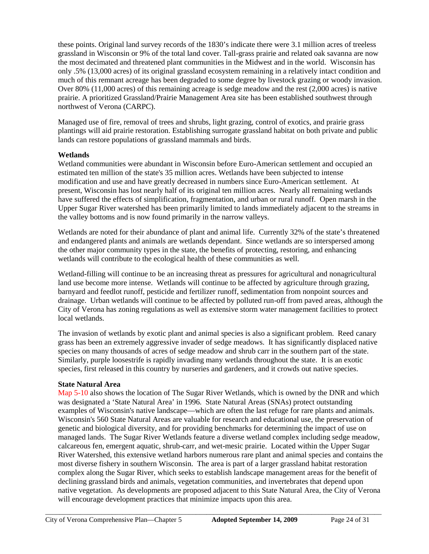these points. Original land survey records of the 1830's indicate there were 3.1 million acres of treeless grassland in Wisconsin or 9% of the total land cover. Tall-grass prairie and related oak savanna are now the most decimated and threatened plant communities in the Midwest and in the world. Wisconsin has only .5% (13,000 acres) of its original grassland ecosystem remaining in a relatively intact condition and much of this remnant acreage has been degraded to some degree by livestock grazing or woody invasion. Over 80% (11,000 acres) of this remaining acreage is sedge meadow and the rest (2,000 acres) is native prairie. A prioritized Grassland/Prairie Management Area site has been established southwest through northwest of Verona (CARPC).

Managed use of fire, removal of trees and shrubs, light grazing, control of exotics, and prairie grass plantings will aid prairie restoration. Establishing surrogate grassland habitat on both private and public lands can restore populations of grassland mammals and birds.

# **Wetlands**

Wetland communities were abundant in Wisconsin before Euro-American settlement and occupied an estimated ten million of the state's 35 million acres. Wetlands have been subjected to intense modification and use and have greatly decreased in numbers since Euro-American settlement. At present, Wisconsin has lost nearly half of its original ten million acres. Nearly all remaining wetlands have suffered the effects of simplification, fragmentation, and urban or rural runoff. Open marsh in the Upper Sugar River watershed has been primarily limited to lands immediately adjacent to the streams in the valley bottoms and is now found primarily in the narrow valleys.

Wetlands are noted for their abundance of plant and animal life. Currently 32% of the state's threatened and endangered plants and animals are wetlands dependant. Since wetlands are so interspersed among the other major community types in the state, the benefits of protecting, restoring, and enhancing wetlands will contribute to the ecological health of these communities as well.

Wetland-filling will continue to be an increasing threat as pressures for agricultural and nonagricultural land use become more intense. Wetlands will continue to be affected by agriculture through grazing, barnyard and feedlot runoff, pesticide and fertilizer runoff, sedimentation from nonpoint sources and drainage. Urban wetlands will continue to be affected by polluted run-off from paved areas, although the City of Verona has zoning regulations as well as extensive storm water management facilities to protect local wetlands.

The invasion of wetlands by exotic plant and animal species is also a significant problem. Reed canary grass has been an extremely aggressive invader of sedge meadows. It has significantly displaced native species on many thousands of acres of sedge meadow and shrub carr in the southern part of the state. Similarly, purple loosestrife is rapidly invading many wetlands throughout the state. It is an exotic species, first released in this country by nurseries and gardeners, and it crowds out native species.

## **State Natural Area**

Map 5-10 also shows the location of The Sugar River Wetlands, which is owned by the DNR and which was designated a 'State Natural Area' in 1996. State Natural Areas (SNAs) protect outstanding examples of Wisconsin's native landscape—which are often the last refuge for rare plants and animals. Wisconsin's 560 State Natural Areas are valuable for research and educational use, the preservation of genetic and biological diversity, and for providing benchmarks for determining the impact of use on managed lands. The Sugar River Wetlands feature a diverse wetland complex including sedge meadow, calcareous fen, emergent aquatic, shrub-carr, and wet-mesic prairie. Located within the Upper Sugar River Watershed, this extensive wetland harbors numerous rare plant and animal species and contains the most diverse fishery in southern Wisconsin. The area is part of a larger grassland habitat restoration complex along the Sugar River, which seeks to establish landscape management areas for the benefit of declining grassland birds and animals, vegetation communities, and invertebrates that depend upon native vegetation. As developments are proposed adjacent to this State Natural Area, the City of Verona will encourage development practices that minimize impacts upon this area.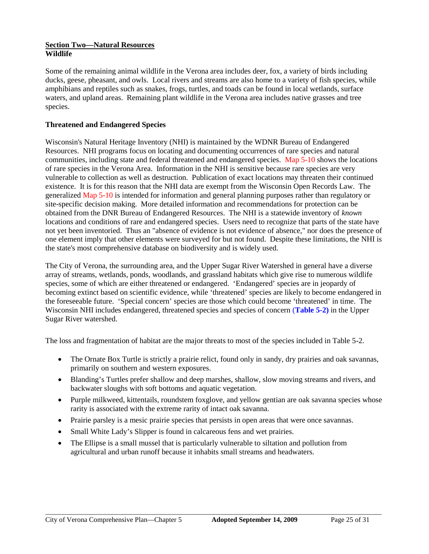#### **Section Two—Natural Resources Wildlife**

Some of the remaining animal wildlife in the Verona area includes deer, fox, a variety of birds including ducks, geese, pheasant, and owls. Local rivers and streams are also home to a variety of fish species, while amphibians and reptiles such as snakes, frogs, turtles, and toads can be found in local wetlands, surface waters, and upland areas. Remaining plant wildlife in the Verona area includes native grasses and tree species.

## **Threatened and Endangered Species**

Wisconsin's Natural Heritage Inventory (NHI) is maintained by the WDNR Bureau of Endangered Resources. NHI programs focus on locating and documenting occurrences of rare species and natural communities, including state and federal threatened and endangered species. Map 5-10 shows the locations of rare species in the Verona Area. Information in the NHI is sensitive because rare species are very vulnerable to collection as well as destruction. Publication of exact locations may threaten their continued existence. It is for this reason that the NHI data are exempt from the Wisconsin Open Records Law. The generalized Map 5-10 is intended for information and general planning purposes rather than regulatory or site-specific decision making. More detailed information and recommendations for protection can be obtained from the DNR Bureau of Endangered Resources. The NHI is a statewide inventory of *known* locations and conditions of rare and endangered species. Users need to recognize that parts of the state have not yet been inventoried. Thus an "absence of evidence is not evidence of absence," nor does the presence of one element imply that other elements were surveyed for but not found. Despite these limitations, the NHI is the state's most comprehensive database on biodiversity and is widely used.

The City of Verona, the surrounding area, and the Upper Sugar River Watershed in general have a diverse array of streams, wetlands, ponds, woodlands, and grassland habitats which give rise to numerous wildlife species, some of which are either threatened or endangered. 'Endangered' species are in jeopardy of becoming extinct based on scientific evidence, while 'threatened' species are likely to become endangered in the foreseeable future. 'Special concern' species are those which could become 'threatened' in time. The Wisconsin NHI includes endangered, threatened species and species of concern (**Table 5-2)** in the Upper Sugar River watershed.

The loss and fragmentation of habitat are the major threats to most of the species included in Table 5-2.

- The Ornate Box Turtle is strictly a prairie relict, found only in sandy, dry prairies and oak savannas, primarily on southern and western exposures.
- Blanding's Turtles prefer shallow and deep marshes, shallow, slow moving streams and rivers, and backwater sloughs with soft bottoms and aquatic vegetation.
- Purple milkweed, kittentails, roundstem foxglove, and yellow gentian are oak savanna species whose rarity is associated with the extreme rarity of intact oak savanna.
- Prairie parsley is a mesic prairie species that persists in open areas that were once savannas.
- Small White Lady's Slipper is found in calcareous fens and wet prairies.
- The Ellipse is a small mussel that is particularly vulnerable to siltation and pollution from agricultural and urban runoff because it inhabits small streams and headwaters.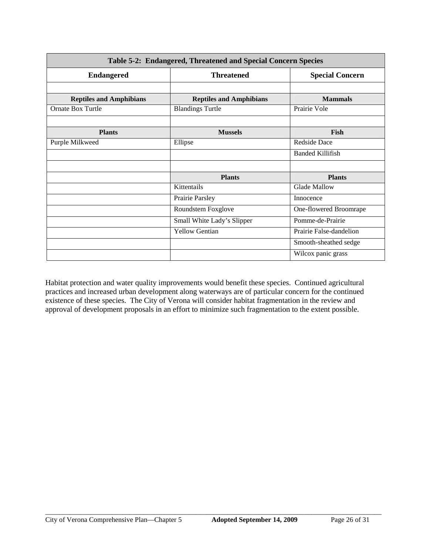| Table 5-2: Endangered, Threatened and Special Concern Species |                                |                         |  |
|---------------------------------------------------------------|--------------------------------|-------------------------|--|
| <b>Endangered</b>                                             | <b>Threatened</b>              | <b>Special Concern</b>  |  |
|                                                               |                                |                         |  |
| <b>Reptiles and Amphibians</b>                                | <b>Reptiles and Amphibians</b> | <b>Mammals</b>          |  |
| <b>Ornate Box Turtle</b>                                      | <b>Blandings Turtle</b>        | Prairie Vole            |  |
|                                                               |                                |                         |  |
| <b>Plants</b>                                                 | <b>Mussels</b>                 | Fish                    |  |
| Purple Milkweed                                               | Ellipse                        | <b>Redside Dace</b>     |  |
|                                                               |                                | <b>Banded Killifish</b> |  |
|                                                               |                                |                         |  |
|                                                               | <b>Plants</b>                  | <b>Plants</b>           |  |
|                                                               | Kittentails                    | <b>Glade Mallow</b>     |  |
|                                                               | Prairie Parsley                | Innocence               |  |
|                                                               | Roundstem Foxglove             | One-flowered Broomrape  |  |
|                                                               | Small White Lady's Slipper     | Pomme-de-Prairie        |  |
|                                                               | <b>Yellow Gentian</b>          | Prairie False-dandelion |  |
|                                                               |                                | Smooth-sheathed sedge   |  |
|                                                               |                                | Wilcox panic grass      |  |

Habitat protection and water quality improvements would benefit these species. Continued agricultural practices and increased urban development along waterways are of particular concern for the continued existence of these species. The City of Verona will consider habitat fragmentation in the review and approval of development proposals in an effort to minimize such fragmentation to the extent possible.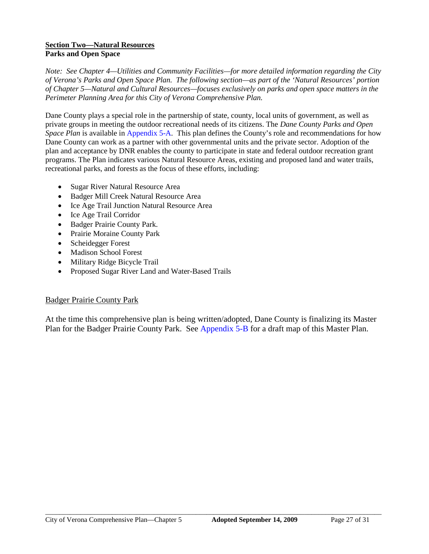## **Section Two—Natural Resources Parks and Open Space**

*Note: See Chapter 4—Utilities and Community Facilities—for more detailed information regarding the City of Verona's Parks and Open Space Plan. The following section—as part of the 'Natural Resources' portion of Chapter 5—Natural and Cultural Resources—focuses exclusively on parks and open space matters in the Perimeter Planning Area for this City of Verona Comprehensive Plan.*

Dane County plays a special role in the partnership of state, county, local units of government, as well as private groups in meeting the outdoor recreational needs of its citizens. The *Dane County Parks and Open Space Plan* is available in Appendix 5-A. This plan defines the County's role and recommendations for how Dane County can work as a partner with other governmental units and the private sector. Adoption of the plan and acceptance by DNR enables the county to participate in state and federal outdoor recreation grant programs. The Plan indicates various Natural Resource Areas, existing and proposed land and water trails, recreational parks, and forests as the focus of these efforts, including:

- Sugar River Natural Resource Area
- Badger Mill Creek Natural Resource Area
- Ice Age Trail Junction Natural Resource Area
- Ice Age Trail Corridor
- Badger Prairie County Park.
- Prairie Moraine County Park
- Scheidegger Forest
- Madison School Forest
- Military Ridge Bicycle Trail
- Proposed Sugar River Land and Water-Based Trails

# Badger Prairie County Park

At the time this comprehensive plan is being written/adopted, Dane County is finalizing its Master Plan for the Badger Prairie County Park. See Appendix 5-B for a draft map of this Master Plan.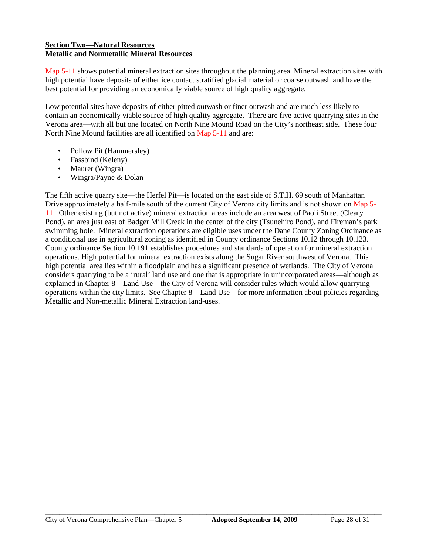## **Section Two—Natural Resources Metallic and Nonmetallic Mineral Resources**

Map 5-11 shows potential mineral extraction sites throughout the planning area. Mineral extraction sites with high potential have deposits of either ice contact stratified glacial material or coarse outwash and have the best potential for providing an economically viable source of high quality aggregate.

Low potential sites have deposits of either pitted outwash or finer outwash and are much less likely to contain an economically viable source of high quality aggregate. There are five active quarrying sites in the Verona area—with all but one located on North Nine Mound Road on the City's northeast side. These four North Nine Mound facilities are all identified on Map 5-11 and are:

- Pollow Pit (Hammersley)
- Fassbind (Keleny)
- Maurer (Wingra)
- Wingra/Payne & Dolan

The fifth active quarry site—the Herfel Pit—is located on the east side of S.T.H. 69 south of Manhattan Drive approximately a half-mile south of the current City of Verona city limits and is not shown on Map 5-11. Other existing (but not active) mineral extraction areas include an area west of Paoli Street (Cleary Pond), an area just east of Badger Mill Creek in the center of the city (Tsunehiro Pond), and Fireman's park swimming hole. Mineral extraction operations are eligible uses under the Dane County Zoning Ordinance as a conditional use in agricultural zoning as identified in County ordinance Sections 10.12 through 10.123. County ordinance Section 10.191 establishes procedures and standards of operation for mineral extraction operations. High potential for mineral extraction exists along the Sugar River southwest of Verona. This high potential area lies within a floodplain and has a significant presence of wetlands. The City of Verona considers quarrying to be a 'rural' land use and one that is appropriate in unincorporated areas—although as explained in Chapter 8—Land Use—the City of Verona will consider rules which would allow quarrying operations within the city limits. See Chapter 8—Land Use—for more information about policies regarding Metallic and Non-metallic Mineral Extraction land-uses.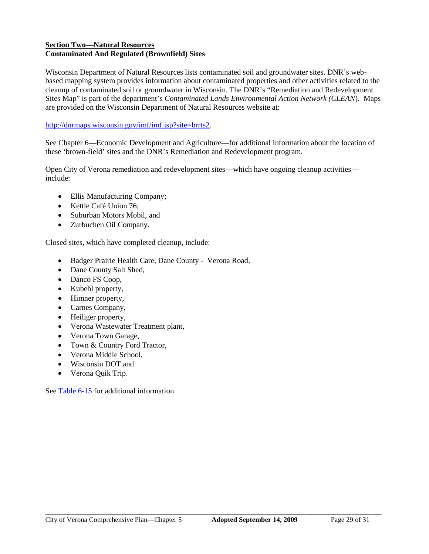## **Section Two—Natural Resources Contaminated And Regulated (Brownfield) Sites**

Wisconsin Department of Natural Resources lists contaminated soil and groundwater sites. DNR's webbased mapping system provides information about contaminated properties and other activities related to the cleanup of contaminated soil or groundwater in Wisconsin. The DNR's "Remediation and Redevelopment Sites Map" is part of the department's *Contaminated Lands Environmental Action Network (CLEAN*). Maps are provided on the Wisconsin Department of Natural Resources website at:

# http://dnrmaps.wisconsin.gov/imf/imf.jsp?site=brrts2.

See Chapter 6—Economic Development and Agriculture—for additional information about the location of these 'brown-field' sites and the DNR's Remediation and Redevelopment program.

Open City of Verona remediation and redevelopment sites—which have ongoing cleanup activities include:

- Ellis Manufacturing Company;
- Kettle Café Union 76:
- Suburban Motors Mobil, and
- Zurbuchen Oil Company.

Closed sites, which have completed cleanup, include:

- Badger Prairie Health Care, Dane County Verona Road,
- Dane County Salt Shed,
- Danco FS Coop,
- Kubehl property,
- Himner property,
- Carnes Company,
- Heiliger property,
- Verona Wastewater Treatment plant,
- Verona Town Garage,
- Town & Country Ford Tractor,
- Verona Middle School,
- Wisconsin DOT and
- Verona Quik Trip.

See Table 6-15 for additional information.

 $\_$  ,  $\_$  ,  $\_$  ,  $\_$  ,  $\_$  ,  $\_$  ,  $\_$  ,  $\_$  ,  $\_$  ,  $\_$  ,  $\_$  ,  $\_$  ,  $\_$  ,  $\_$  ,  $\_$  ,  $\_$  ,  $\_$  ,  $\_$  ,  $\_$  ,  $\_$  ,  $\_$  ,  $\_$  ,  $\_$  ,  $\_$  ,  $\_$  ,  $\_$  ,  $\_$  ,  $\_$  ,  $\_$  ,  $\_$  ,  $\_$  ,  $\_$  ,  $\_$  ,  $\_$  ,  $\_$  ,  $\_$  ,  $\_$  ,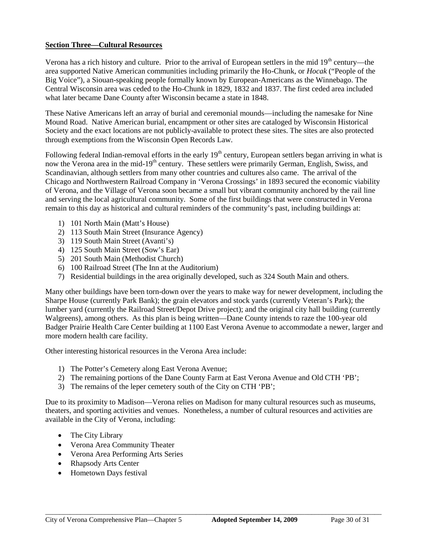## **Section Three—Cultural Resources**

Verona has a rich history and culture. Prior to the arrival of European settlers in the mid  $19<sup>th</sup>$  century—the area supported Native American communities including primarily the Ho-Chunk, or *Hocak* ("People of the Big Voice"), a Siouan-speaking people formally known by European-Americans as the Winnebago. The Central Wisconsin area was ceded to the Ho-Chunk in 1829, 1832 and 1837. The first ceded area included what later became Dane County after Wisconsin became a state in 1848.

These Native Americans left an array of burial and ceremonial mounds—including the namesake for Nine Mound Road. Native American burial, encampment or other sites are cataloged by Wisconsin Historical Society and the exact locations are not publicly-available to protect these sites. The sites are also protected through exemptions from the Wisconsin Open Records Law.

Following federal Indian-removal efforts in the early 19<sup>th</sup> century, European settlers began arriving in what is now the Verona area in the mid-19<sup>th</sup> century. These settlers were primarily German, English, Swiss, and Scandinavian, although settlers from many other countries and cultures also came. The arrival of the Chicago and Northwestern Railroad Company in 'Verona Crossings' in 1893 secured the economic viability of Verona, and the Village of Verona soon became a small but vibrant community anchored by the rail line and serving the local agricultural community. Some of the first buildings that were constructed in Verona remain to this day as historical and cultural reminders of the community's past, including buildings at:

- 1) 101 North Main (Matt's House)
- 2) 113 South Main Street (Insurance Agency)
- 3) 119 South Main Street (Avanti's)
- 4) 125 South Main Street (Sow's Ear)
- 5) 201 South Main (Methodist Church)
- 6) 100 Railroad Street (The Inn at the Auditorium)
- 7) Residential buildings in the area originally developed, such as 324 South Main and others.

Many other buildings have been torn-down over the years to make way for newer development, including the Sharpe House (currently Park Bank); the grain elevators and stock yards (currently Veteran's Park); the lumber yard (currently the Railroad Street/Depot Drive project); and the original city hall building (currently Walgreens), among others. As this plan is being written—Dane County intends to raze the 100-year old Badger Prairie Health Care Center building at 1100 East Verona Avenue to accommodate a newer, larger and more modern health care facility.

Other interesting historical resources in the Verona Area include:

- 1) The Potter's Cemetery along East Verona Avenue;
- 2) The remaining portions of the Dane County Farm at East Verona Avenue and Old CTH 'PB';
- 3) The remains of the leper cemetery south of the City on CTH 'PB';

Due to its proximity to Madison—Verona relies on Madison for many cultural resources such as museums, theaters, and sporting activities and venues. Nonetheless, a number of cultural resources and activities are available in the City of Verona, including:

 $\_$  ,  $\_$  ,  $\_$  ,  $\_$  ,  $\_$  ,  $\_$  ,  $\_$  ,  $\_$  ,  $\_$  ,  $\_$  ,  $\_$  ,  $\_$  ,  $\_$  ,  $\_$  ,  $\_$  ,  $\_$  ,  $\_$  ,  $\_$  ,  $\_$  ,  $\_$  ,  $\_$  ,  $\_$  ,  $\_$  ,  $\_$  ,  $\_$  ,  $\_$  ,  $\_$  ,  $\_$  ,  $\_$  ,  $\_$  ,  $\_$  ,  $\_$  ,  $\_$  ,  $\_$  ,  $\_$  ,  $\_$  ,  $\_$  ,

- The City Library
- Verona Area Community Theater
- Verona Area Performing Arts Series
- Rhapsody Arts Center
- Hometown Days festival